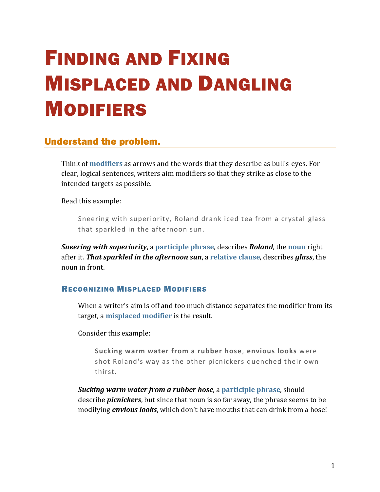# FINDING AND FIXING MISPLACED AND DANGLING MODIFIERS

## Understand the problem.

Think of **[modifiers](https://chompchomp.com/terms/modifier.htm)** as arrows and the words that they describe as bull's-eyes. For clear, logical sentences, writers aim modifiers so that they strike as close to the intended targets as possible.

Read this example:

Sneering with superiority, Roland drank iced tea from a crystal glass that sparkled in the afternoon sun.

*Sneering with superiority*, a **[participle phrase](https://chompchomp.com/terms/participlephrase.htm)**, describes *Roland*, the **[noun](https://chompchomp.com/terms/noun.htm)** right after it. *That sparkled in the afternoon sun*, a **[relative clause](https://chompchomp.com/terms/relativeclause.htm)**, describes *glass*, the noun in front.

#### RECOGNIZING MISPLACED MODIFIERS

When a writer's aim is off and too much distance separates the modifier from its target, a **[misplaced modifier](https://chompchomp.com/terms/misplacedmodifier.htm)** is the result.

Consider this example:

**Sucking warm water from a rubber hose**, **envious looks** were shot Roland's way as the other picnickers quenched their own thirst.

*Sucking warm water from a rubber hose*, a **[participle phrase](https://chompchomp.com/terms/participlephrase.htm)**, should describe *picnickers*, but since that noun is so far away, the phrase seems to be modifying *envious looks*, which don't have mouths that can drink from a hose!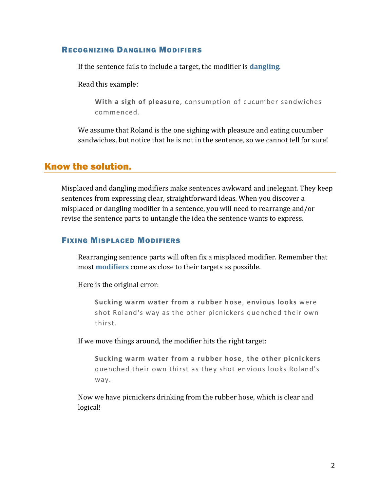#### RECOGNIZING DANGLING MODIFIERS

If the sentence fails to include a target, the modifier is **[dangling](https://chompchomp.com/terms/danglingmodifier.htm)**.

Read this example:

**With a sigh of pleasure**, consumption of cucumber sandwiches commenced.

We assume that Roland is the one sighing with pleasure and eating cucumber sandwiches, but notice that he is not in the sentence, so we cannot tell for sure!

## Know the solution.

Misplaced and dangling modifiers make sentences awkward and inelegant. They keep sentences from expressing clear, straightforward ideas. When you discover a misplaced or dangling modifier in a sentence, you will need to rearrange and/or revise the sentence parts to untangle the idea the sentence wants to express.

### FIXING MISPLACED MODIFIERS

Rearranging sentence parts will often fix a misplaced modifier. Remember that most **[modifiers](https://chompchomp.com/terms/modifier.htm)** come as close to their targets as possible.

Here is the original error:

**Sucking warm water from a rubber hose**, **envious looks** were shot Roland's way as the other picnickers quenched their own thirst.

If we move things around, the modifier hits the right target:

**Sucking warm water from a rubber hose**, **the other picnickers**  quenched their own thirst as they shot envious looks Roland's way.

Now we have picnickers drinking from the rubber hose, which is clear and logical!